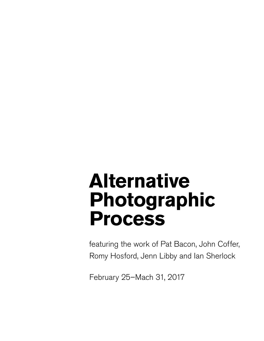# **Alternative Photographic Process**

featuring the work of Pat Bacon, John Coffer, Romy Hosford, Jenn Libby and Ian Sherlock

February 25–Mach 31, 2017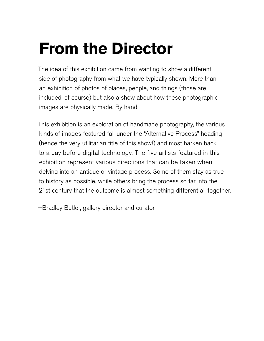# **From the Director**

The idea of this exhibition came from wanting to show a different side of photography from what we have typically shown. More than an exhibition of photos of places, people, and things (those are included, of course) but also a show about how these photographic images are physically made. By hand.

This exhibition is an exploration of handmade photography, the various kinds of images featured fall under the "Alternative Process" heading (hence the very utilitarian title of this show!) and most harken back to a day before digital technology. The five artists featured in this exhibition represent various directions that can be taken when delving into an antique or vintage process. Some of them stay as true to history as possible, while others bring the process so far into the 21st century that the outcome is almost something different all together.

—Bradley Butler, gallery director and curator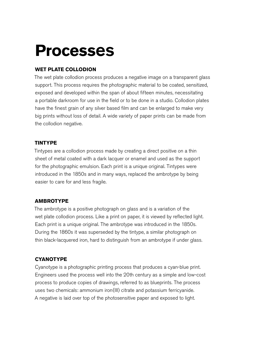# **Process**es

### **WET PLATE COLLODION**

The wet plate collodion process produces a negative image on a transparent glass support. This process requires the photographic material to be coated, sensitized, exposed and developed within the span of about fifteen minutes, necessitating a portable darkroom for use in the field or to be done in a studio. Collodion plates have the finest grain of any silver based film and can be enlarged to make very big prints without loss of detail. A wide variety of paper prints can be made from the collodion negative.

#### **TINTYPE**

Tintypes are a collodion process made by creating a direct positive on a thin sheet of metal coated with a dark lacquer or enamel and used as the support for the photographic emulsion. Each print is a unique original. Tintypes were introduced in the 1850s and in many ways, replaced the ambrotype by being easier to care for and less fragile.

### **AMBROTYPE**

The ambrotype is a positive photograph on glass and is a variation of the wet plate collodion process. Like a print on paper, it is viewed by reflected light. Each print is a unique original. The ambrotype was introduced in the 1850s. During the 1860s it was superseded by the tintype, a similar photograph on thin black-lacquered iron, hard to distinguish from an ambrotype if under glass.

## **CYANOTYPE**

Cyanotype is a photographic printing process that produces a cyan-blue print. Engineers used the process well into the 20th century as a simple and low-cost process to produce copies of drawings, referred to as blueprints. The process uses two chemicals: ammonium iron(III) citrate and potassium ferricyanide. A negative is laid over top of the photosensitive paper and exposed to light.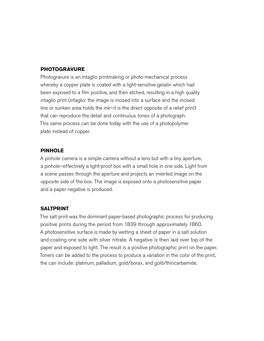#### **PHOTOGRAVURE**

Photogravure is an intaglio printmaking or photo-mechanical process whereby a copper plate is coated with a light-sensitive gelatin which had been exposed to a film positive, and then etched, resulting in a high quality intaglio print (intaglio: the image is incised into a surface and the incised line or sunken area holds the ink—it is the direct opposite of a relief print) that can reproduce the detail and continuous tones of a photograph. This same process can be done today with the use of a photopolymer plate instead of copper.

#### **PINHOLE**

A pinhole camera is a simple camera without a lens but with a tiny aperture, a pinhole–effectively a light-proof box with a small hole in one side. Light from a scene passes through the aperture and projects an inverted image on the opposite side of the box. The image is exposed onto a photosensitive paper and a paper negative is produced.

#### **SALTPRINT**

The salt print was the dominant paper-based photographic process for producing positive prints during the period from 1839 through approximately 1860. A photosensitive surface is made by wetting a sheet of paper in a salt solution and coating one side with silver nitrate. A negative is then laid over top of the paper and exposed to light. The result is a positive photographic print on the paper. Toners can be added to the process to produce a variation in the color of the print, the can include: platinum, palladium, gold/borax, and gold/thiocarbamide.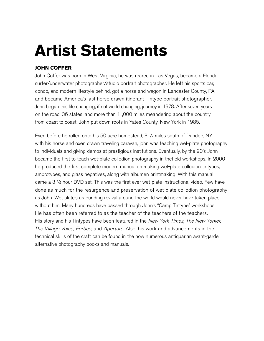# **Artist Statements**

### **JOHN COFFER**

John Coffer was born in West Virginia, he was reared in Las Vegas, became a Florida surfer/underwater photographer/studio portrait photographer. He left his sports car, condo, and modern lifestyle behind, got a horse and wagon in Lancaster County, PA and became America's last horse drawn itinerant Tintype portrait photographer. John began this life changing, if not world changing, journey in 1978. After seven years on the road, 36 states, and more than 11,000 miles meandering about the country from coast to coast, John put down roots in Yates County, New York in 1985.

Even before he rolled onto his 50 acre homestead, 3 ½ miles south of Dundee, NY with his horse and oxen drawn traveling caravan, john was teaching wet-plate photography to individuals and giving demos at prestigious institutions. Eventually, by the 90's John became the first to teach wet-plate collodion photography in thefield workshops. In 2000 he produced the first complete modern manual on making wet-plate collodion tintypes, ambrotypes, and glass negatives, along with albumen printmaking. With this manual came a 3 ½ hour DVD set. This was the first ever wet-plate instructional video. Few have done as much for the resurgence and preservation of wet-plate collodion photography as John. Wet plate's astounding revival around the world would never have taken place without him. Many hundreds have passed through John's "Camp Tintype" workshops. He has often been referred to as the teacher of the teachers of the teachers. His story and his Tintypes have been featured in the *New York Times, The New Yorker,* The Village Voice, Forbes, and Aperture. Also, his work and advancements in the technical skills of the craft can be found in the now numerous antiquarian avant-garde alternative photography books and manuals.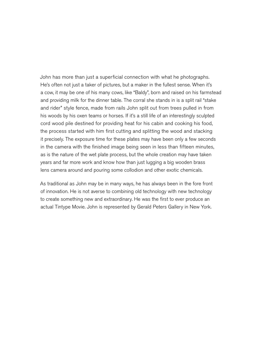John has more than just a superficial connection with what he photographs. He's often not just a taker of pictures, but a maker in the fullest sense. When it's a cow, it may be one of his many cows, like "Baldy", born and raised on his farmstead and providing milk for the dinner table. The corral she stands in is a split rail "stake and rider" style fence, made from rails John split out from trees pulled in from his woods by his oxen teams or horses. If it's a still life of an interestingly sculpted cord wood pile destined for providing heat for his cabin and cooking his food, the process started with him first cutting and splitting the wood and stacking it precisely. The exposure time for these plates may have been only a few seconds in the camera with the finished image being seen in less than fifteen minutes, as is the nature of the wet plate process, but the whole creation may have taken years and far more work and know how than just lugging a big wooden brass lens camera around and pouring some collodion and other exotic chemicals.

As traditional as John may be in many ways, he has always been in the fore front of innovation. He is not averse to combining old technology with new technology to create something new and extraordinary. He was the first to ever produce an actual Tintype Movie. John is represented by Gerald Peters Gallery in New York.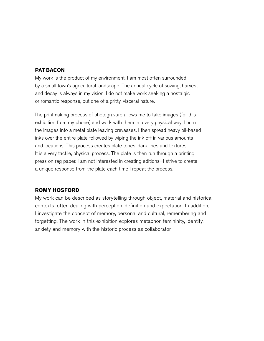#### **PAT BACON**

My work is the product of my environment. I am most often surrounded by a small town's agricultural landscape. The annual cycle of sowing, harvest and decay is always in my vision. I do not make work seeking a nostalgic or romantic response, but one of a gritty, visceral nature.

The printmaking process of photogravure allows me to take images (for this exhibition from my phone) and work with them in a very physical way. I burn the images into a metal plate leaving crevasses. I then spread heavy oil-based inks over the entire plate followed by wiping the ink off in various amounts and locations. This process creates plate tones, dark lines and textures. It is a very tactile, physical process. The plate is then run through a printing press on rag paper. I am not interested in creating editions—I strive to create a unique response from the plate each time I repeat the process.

#### **ROMY HOSFORD**

My work can be described as storytelling through object, material and historical contexts; often dealing with perception, definition and expectation. In addition, I investigate the concept of memory, personal and cultural, remembering and forgetting. The work in this exhibition explores metaphor, femininity, identity, anxiety and memory with the historic process as collaborator.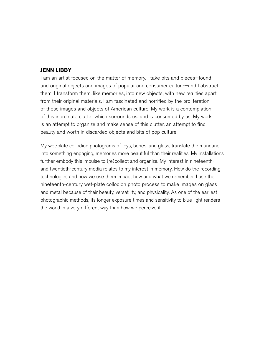#### **JENN LIBBY**

I am an artist focused on the matter of memory. I take bits and pieces—found and original objects and images of popular and consumer culture—and I abstract them. I transform them, like memories, into new objects, with new realities apart from their original materials. I am fascinated and horrified by the proliferation of these images and objects of American culture. My work is a contemplation of this inordinate clutter which surrounds us, and is consumed by us. My work is an attempt to organize and make sense of this clutter, an attempt to find beauty and worth in discarded objects and bits of pop culture.

My wet-plate collodion photograms of toys, bones, and glass, translate the mundane into something engaging, memories more beautiful than their realities. My installations further embody this impulse to (re)collect and organize. My interest in nineteenthand twentieth-century media relates to my interest in memory. How do the recording technologies and how we use them impact how and what we remember. I use the nineteenth-century wet-plate collodion photo process to make images on glass and metal because of their beauty, versatility, and physicality. As one of the earliest photographic methods, its longer exposure times and sensitivity to blue light renders the world in a very different way than how we perceive it.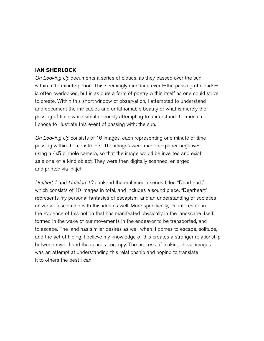#### **IAN SHERLOCK**

On Looking Up documents a series of clouds, as they passed over the sun, within a 16 minute period. This seemingly mundane event—the passing of clouds is often overlooked, but is as pure a form of poetry within itself as one could strive to create. Within this short window of observation, I attempted to understand and document the intricacies and unfathomable beauty of what is merely the passing of time, while simultaneously attempting to understand the medium I chose to illustrate this event of passing with: the sun.

On Looking Up consists of 16 images, each representing one minute of time passing within the constraints. The images were made on paper negatives, using a 4x5 pinhole camera, so that the image would be inverted and exist as a one-of-a-kind object. They were then digitally scanned, enlarged and printed via inkjet.

Untitled 1 and Untitled 10 bookend the multimedia series titled "Dearheart," which consists of 10 images in total, and includes a sound piece. "Dearheart" represents my personal fantasies of escapism, and an understanding of societies universal fascination with this idea as well. More specifically, I'm interested in the evidence of this notion that has manifested physically in the landscape itself, formed in the wake of our movements in the endeavor to be transported, and to escape. The land has similar desires as well when it comes to escape, solitude, and the act of hiding. I believe my knowledge of this creates a stronger relationship between myself and the spaces I occupy. The process of making these images was an attempt at understanding this relationship and hoping to translate it to others the best I can.